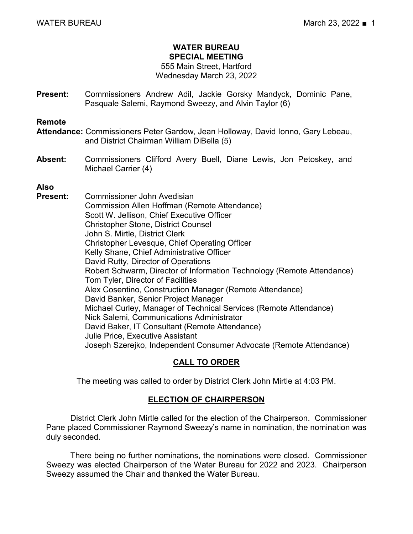## **WATER BUREAU SPECIAL MEETING**

#### 555 Main Street, Hartford Wednesday March 23, 2022

**Present:** Commissioners Andrew Adil, Jackie Gorsky Mandyck, Dominic Pane, Pasquale Salemi, Raymond Sweezy, and Alvin Taylor (6)

#### **Remote**

- **Attendance:** Commissioners Peter Gardow, Jean Holloway, David Ionno, Gary Lebeau, and District Chairman William DiBella (5)
- **Absent:** Commissioners Clifford Avery Buell, Diane Lewis, Jon Petoskey, and Michael Carrier (4)

## **Also**

**Present:** Commissioner John Avedisian Commission Allen Hoffman (Remote Attendance) Scott W. Jellison, Chief Executive Officer Christopher Stone, District Counsel John S. Mirtle, District Clerk Christopher Levesque, Chief Operating Officer Kelly Shane, Chief Administrative Officer David Rutty, Director of Operations Robert Schwarm, Director of Information Technology (Remote Attendance) Tom Tyler, Director of Facilities Alex Cosentino, Construction Manager (Remote Attendance) David Banker, Senior Project Manager Michael Curley, Manager of Technical Services (Remote Attendance) Nick Salemi, Communications Administrator David Baker, IT Consultant (Remote Attendance) Julie Price, Executive Assistant Joseph Szerejko, Independent Consumer Advocate (Remote Attendance)

## **CALL TO ORDER**

The meeting was called to order by District Clerk John Mirtle at 4:03 PM.

## **ELECTION OF CHAIRPERSON**

District Clerk John Mirtle called for the election of the Chairperson. Commissioner Pane placed Commissioner Raymond Sweezy's name in nomination, the nomination was duly seconded.

There being no further nominations, the nominations were closed. Commissioner Sweezy was elected Chairperson of the Water Bureau for 2022 and 2023. Chairperson Sweezy assumed the Chair and thanked the Water Bureau.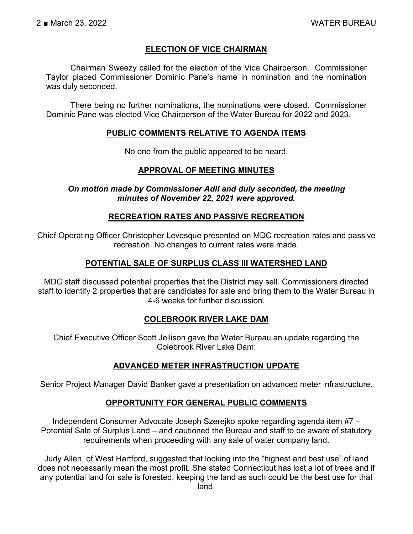## **ELECTION OF VICE CHAIRMAN**

Chairman Sweezy called for the election of the Vice Chairperson. Commissioner Taylor placed Commissioner Dominic Pane's name in nomination and the nomination was duly seconded.

There being no further nominations, the nominations were closed. Commissioner Dominic Pane was elected Vice Chairperson of the Water Bureau for 2022 and 2023.

#### **PUBLIC COMMENTS RELATIVE TO AGENDA ITEMS**

No one from the public appeared to be heard.

#### **APPROVAL OF MEETING MINUTES**

*On motion made by Commissioner Adil and duly seconded, the meeting minutes of November 22, 2021 were approved.* 

#### **RECREATION RATES AND PASSIVE RECREATION**

Chief Operating Officer Christopher Levesque presented on MDC recreation rates and passive recreation. No changes to current rates were made.

### **POTENTIAL SALE OF SURPLUS CLASS III WATERSHED LAND**

MDC staff discussed potential properties that the District may sell. Commissioners directed staff to identify 2 properties that are candidates for sale and bring them to the Water Bureau in 4-6 weeks for further discussion.

## **COLEBROOK RIVER LAKE DAM**

Chief Executive Officer Scott Jellison gave the Water Bureau an update regarding the Colebrook River Lake Dam.

#### **ADVANCED METER INFRASTRUCTION UPDATE**

Senior Project Manager David Banker gave a presentation on advanced meter infrastructure.

## **OPPORTUNITY FOR GENERAL PUBLIC COMMENTS**

Independent Consumer Advocate Joseph Szerejko spoke regarding agenda item #7 – Potential Sale of Surplus Land – and cautioned the Bureau and staff to be aware of statutory requirements when proceeding with any sale of water company land.

Judy Allen, of West Hartford, suggested that looking into the "highest and best use" of land does not necessarily mean the most profit. She stated Connecticut has lost a lot of trees and if any potential land for sale is forested, keeping the land as such could be the best use for that